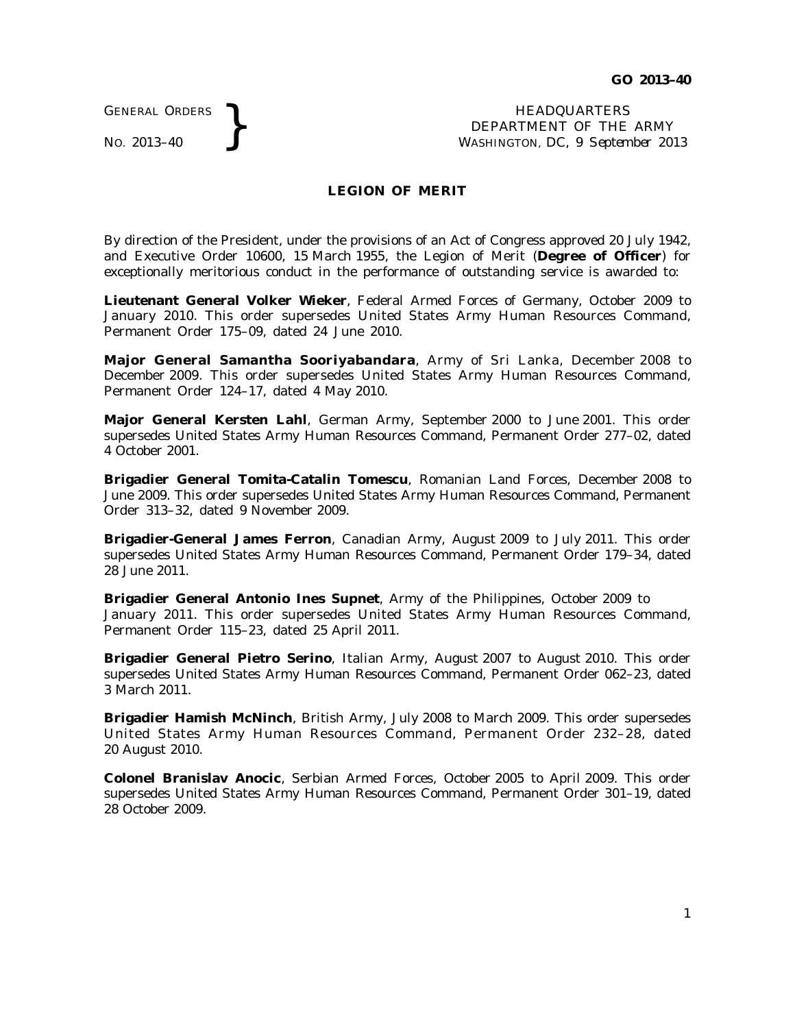GENERAL ORDERS

GENERAL ORDERS **REAL ORDERS** HEADQUARTERS **HEADQUARTERS HEADQUARTERS HEADQUARTERS DEPARTMENT** OF THE **WASHINGTON, DC**, 9 Septem DEPARTMENT OF THE ARMY WASHINGTON, DC, *9 September 2013*

## **LEGION OF MERIT**

By direction of the President, under the provisions of an Act of Congress approved 20 July 1942, and Executive Order 10600, 15 March 1955, the Legion of Merit (Degree of Officer) for exceptionally meritorious conduct in the performance of outstanding service is awarded to:

**Lieutenant General Volker Wieker**, Federal Armed Forces of Germany, October 2009 to January 2010. This order supersedes United States Army Human Resources Command, Permanent Order 175–09, dated 24 June 2010.

**Major General Samantha Sooriyabandara**, Army of Sri Lanka, December 2008 to December 2009. This order supersedes United States Army Human Resources Command, Permanent Order 124–17, dated 4 May 2010.

**Major General Kersten Lahl**, German Army, September 2000 to June 2001. This order supersedes United States Army Human Resources Command, Permanent Order 277–02, dated 4 October 2001.

**Brigadier General Tomita-Catalin Tomescu**, Romanian Land Forces, December 2008 to June 2009. This order supersedes United States Army Human Resources Command, Permanent Order 313–32, dated 9 November 2009.

**Brigadier-General James Ferron**, Canadian Army, August 2009 to July 2011. This order supersedes United States Army Human Resources Command, Permanent Order 179–34, dated 28 June 2011.

**Brigadier General Antonio Ines Supnet**, Army of the Philippines, October 2009 to January 2011. This order supersedes United States Army Human Resources Command, Permanent Order 115–23, dated 25 April 2011.

**Brigadier General Pietro Serino**, Italian Army, August 2007 to August 2010. This order supersedes United States Army Human Resources Command, Permanent Order 062–23, dated 3 March 2011.

**Brigadier Hamish McNinch**, British Army, July 2008 to March 2009. This order supersedes United States Army Human Resources Command, Permanent Order 232-28, dated 20 August 2010.

**Colonel Branislav Anocic**, Serbian Armed Forces, October 2005 to April 2009. This order supersedes United States Army Human Resources Command, Permanent Order 301–19, dated 28 October 2009.